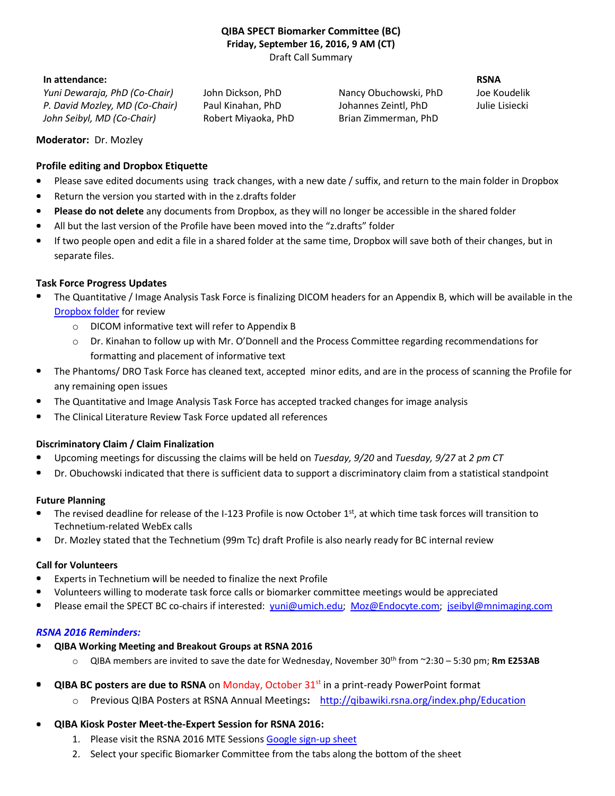#### **QIBA SPECT Biomarker Committee (BC) Friday, September 16, 2016, 9 AM (CT)** Draft Call Summary

#### **In attendance: RSNA**

*Yuni Dewaraja, PhD (Co-Chair)* John Dickson, PhD Nancy Obuchowski, PhD Joe Koudelik *P. David Mozley, MD (Co-Chair)* Paul Kinahan, PhD Johannes Zeintl, PhD Julie Lisiecki *John Seibyl, MD (Co-Chair)* Robert Miyaoka, PhD Brian Zimmerman, PhD

**Moderator:** Dr. Mozley

## **Profile editing and Dropbox Etiquette**

- Please save edited documents using track changes, with a new date / suffix, and return to the main folder in Dropbox
- Return the version you started with in the z.drafts folder ۰
- **Please do not delete** any documents from Dropbox, as they will no longer be accessible in the shared folder
- All but the last version of the Profile have been moved into the "z.drafts" folder
- $\bullet$ If two people open and edit a file in a shared folder at the same time, Dropbox will save both of their changes, but in separate files.

## **Task Force Progress Updates**

- The Quantitative / Image Analysis Task Force is finalizing DICOM headers for an Appendix B, which will be available in the [Dropbox folder](https://www.dropbox.com/home/QIBA%20SPECT%20Profile) for review
	- o DICOM informative text will refer to Appendix B
	- $\circ$  Dr. Kinahan to follow up with Mr. O'Donnell and the Process Committee regarding recommendations for formatting and placement of informative text
- ۰ The Phantoms/ DRO Task Force has cleaned text, accepted minor edits, and are in the process of scanning the Profile for any remaining open issues
- The Quantitative and Image Analysis Task Force has accepted tracked changes for image analysis
- The Clinical Literature Review Task Force updated all references

## **Discriminatory Claim / Claim Finalization**

- Upcoming meetings for discussing the claims will be held on *Tuesday, 9/20* and *Tuesday, 9/27* at *2 pm CT*  $\bullet$
- Dr. Obuchowski indicated that there is sufficient data to support a discriminatory claim from a statistical standpoint

### **Future Planning**

- The revised deadline for release of the I-123 Profile is now October  $1<sup>st</sup>$ , at which time task forces will transition to  $\blacksquare$ Technetium-related WebEx calls
- Dr. Mozley stated that the Technetium (99m Tc) draft Profile is also nearly ready for BC internal review

#### **Call for Volunteers**

- Experts in Technetium will be needed to finalize the next Profile
- Volunteers willing to moderate task force calls or biomarker committee meetings would be appreciated
- Please email the SPECT BC co-chairs if interested: [yuni@umich.edu;](mailto:yuni@umich.edu) [Moz@Endocyte.com;](mailto:Moz@Endocyte.com) [jseibyl@mnimaging.com](mailto:jseibyl@mnimaging.com)

# *RSNA 2016 Reminders:*

- **QIBA Working Meeting and Breakout Groups at RSNA 2016**
	- $\circ$  QIBA members are invited to save the date for Wednesday, November 30<sup>th</sup> from  $\sim$ 2:30 5:30 pm; **Rm E253AB**
- $\bullet$ **QIBA BC posters are due to RSNA** on Monday, October 31<sup>st</sup> in a print-ready PowerPoint format
	- o Previous QIBA Posters at RSNA Annual Meetings**:** <http://qibawiki.rsna.org/index.php/Education>
- **QIBA Kiosk Poster Meet-the-Expert Session for RSNA 2016:** 
	- 1. Please visit the RSNA 2016 MTE Session[s Google sign-up sheet](http://tinyurl.com/ptcp5ds)
	- 2. Select your specific Biomarker Committee from the tabs along the bottom of the sheet